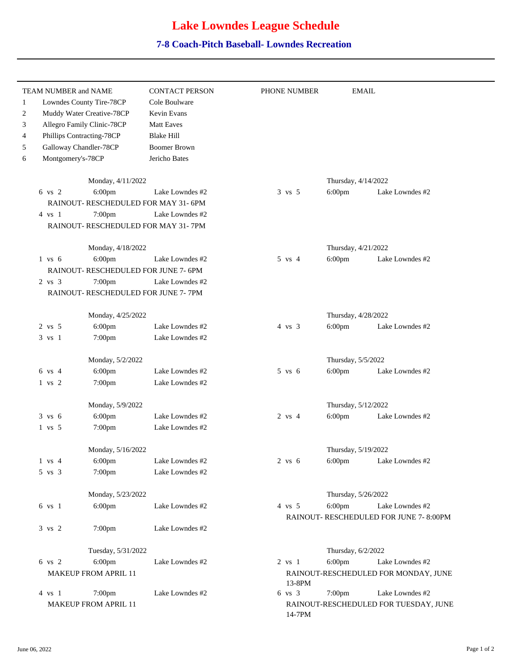## **Lake Lowndes League Schedule**

## **7-8 Coach-Pitch Baseball- Lowndes Recreation**

| Lowndes County Tire-78CP             |                     |                   |                     |                                         |
|--------------------------------------|---------------------|-------------------|---------------------|-----------------------------------------|
|                                      | Cole Boulware       |                   |                     |                                         |
| Muddy Water Creative-78CP            | Kevin Evans         |                   |                     |                                         |
| Allegro Family Clinic-78CP           | <b>Matt Eaves</b>   |                   |                     |                                         |
| Phillips Contracting-78CP            | <b>Blake Hill</b>   |                   |                     |                                         |
| Galloway Chandler-78CP               | <b>Boomer Brown</b> |                   |                     |                                         |
| Montgomery's-78CP                    | Jericho Bates       |                   |                     |                                         |
| Monday, 4/11/2022                    |                     |                   | Thursday, 4/14/2022 |                                         |
| $6$ vs $2$<br>6:00pm                 | Lake Lowndes #2     | $3 \text{ vs } 5$ | $6:00$ pm           | Lake Lowndes #2                         |
| RAINOUT- RESCHEDULED FOR MAY 31-6PM  |                     |                   |                     |                                         |
| 7:00pm<br>$4 \text{ vs } 1$          | Lake Lowndes #2     |                   |                     |                                         |
| RAINOUT- RESCHEDULED FOR MAY 31-7PM  |                     |                   |                     |                                         |
|                                      | Monday, 4/18/2022   |                   | Thursday, 4/21/2022 |                                         |
| 6:00pm<br>$1$ vs $6$                 | Lake Lowndes #2     | $5 \text{ vs } 4$ | 6:00pm              | Lake Lowndes #2                         |
| RAINOUT- RESCHEDULED FOR JUNE 7- 6PM |                     |                   |                     |                                         |
| $2 \text{ vs } 3$<br>7:00pm          | Lake Lowndes #2     |                   |                     |                                         |
| RAINOUT- RESCHEDULED FOR JUNE 7- 7PM |                     |                   |                     |                                         |
| Monday, 4/25/2022                    |                     |                   | Thursday, 4/28/2022 |                                         |
| 6:00pm<br>2 vs 5                     | Lake Lowndes #2     | $4 \text{ vs } 3$ | $6:00$ pm           | Lake Lowndes #2                         |
| 3 vs 1<br>7:00pm                     | Lake Lowndes #2     |                   |                     |                                         |
| Monday, 5/2/2022                     |                     |                   | Thursday, 5/5/2022  |                                         |
| 6:00pm<br>6 vs 4                     | Lake Lowndes #2     | $5$ vs $6$        | $6:00$ pm           | Lake Lowndes #2                         |
| 1 vs 2<br>7:00pm                     | Lake Lowndes #2     |                   |                     |                                         |
| Monday, 5/9/2022                     |                     |                   | Thursday, 5/12/2022 |                                         |
| $3 \text{ vs } 6$<br>6:00pm          | Lake Lowndes #2     | $2 \text{ vs } 4$ | $6:00$ pm           | Lake Lowndes #2                         |
| $1$ vs $5$<br>7:00pm                 | Lake Lowndes #2     |                   |                     |                                         |
| Monday, 5/16/2022                    |                     |                   | Thursday, 5/19/2022 |                                         |
| $1$ vs $4$<br>6:00pm                 | Lake Lowndes #2     | $2$ vs $6$        | 6:00pm              | Lake Lowndes #2                         |
| 7:00pm<br>$5 \text{ vs } 3$          | Lake Lowndes #2     |                   |                     |                                         |
| Monday, 5/23/2022                    |                     |                   | Thursday, 5/26/2022 |                                         |
| 6:00pm<br>6 vs 1                     | Lake Lowndes #2     | $4 \text{vs} 5$   | $6:00$ pm           | Lake Lowndes #2                         |
|                                      |                     |                   |                     | RAINOUT- RESCHEDULED FOR JUNE 7- 8:00PM |
| 3 vs 2<br>7:00pm                     | Lake Lowndes #2     |                   |                     |                                         |
| Tuesday, 5/31/2022                   |                     |                   | Thursday, 6/2/2022  |                                         |
| 6 vs 2<br>6:00pm                     | Lake Lowndes #2     | $2$ vs $1$        | 6:00pm              | Lake Lowndes #2                         |
| MAKEUP FROM APRIL 11                 |                     |                   |                     | RAINOUT-RESCHEDULED FOR MONDAY, JUNE    |
| 7:00pm<br>4 vs 1                     | Lake Lowndes #2     | 13-8PM<br>6 vs 3  | 7:00pm              | Lake Lowndes #2                         |
| MAKEUP FROM APRIL 11                 |                     |                   |                     | RAINOUT-RESCHEDULED FOR TUESDAY, JUNE   |